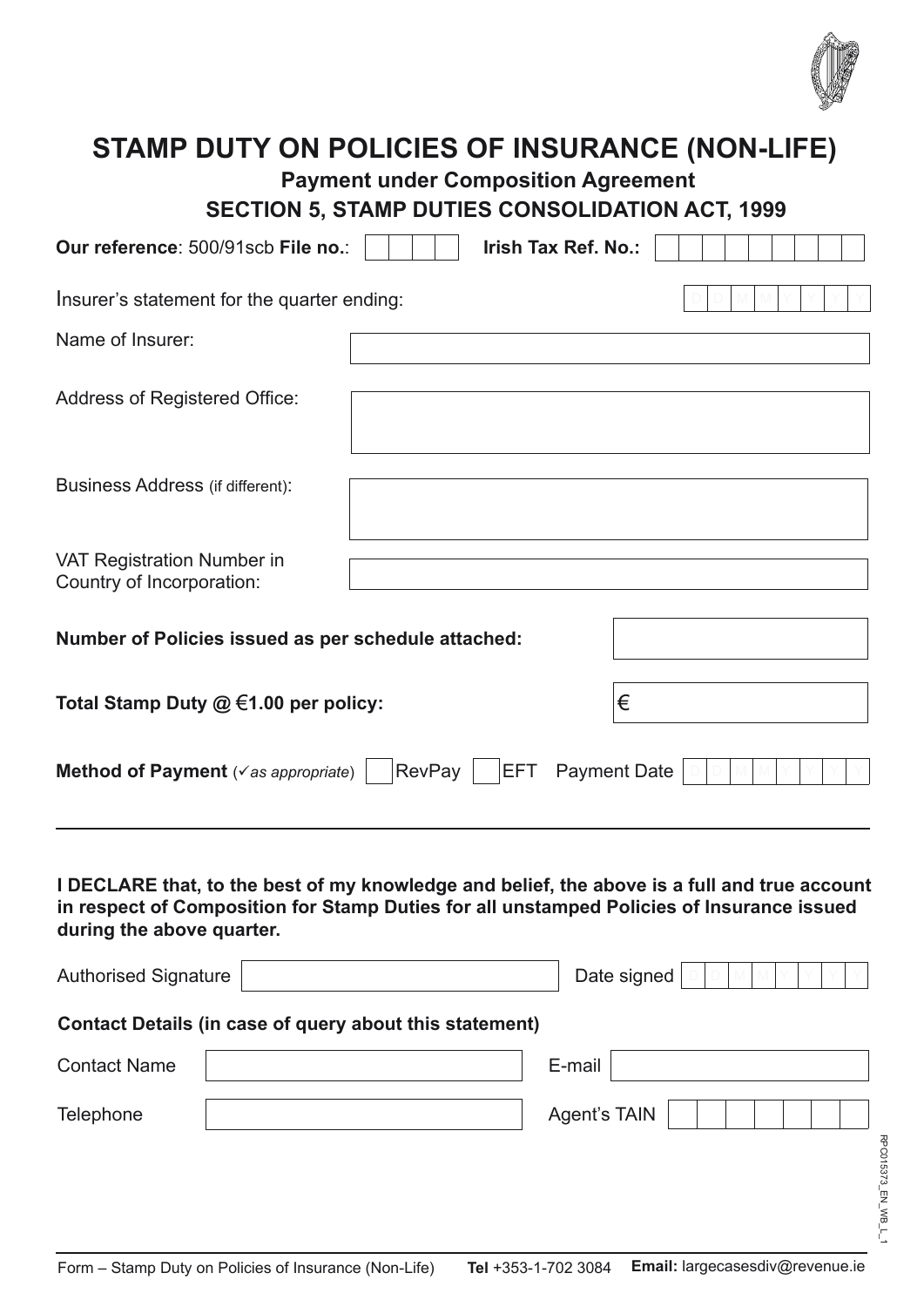

| <b>STAMP DUTY ON POLICIES OF INSURANCE (NON-LIFE)</b><br><b>Payment under Composition Agreement</b><br><b>SECTION 5, STAMP DUTIES CONSOLIDATION ACT, 1999</b>                                                          |  |        |                     |                     |  |  |  |
|------------------------------------------------------------------------------------------------------------------------------------------------------------------------------------------------------------------------|--|--------|---------------------|---------------------|--|--|--|
| Our reference: 500/91scb File no.:                                                                                                                                                                                     |  |        | Irish Tax Ref. No.: |                     |  |  |  |
| Insurer's statement for the quarter ending:                                                                                                                                                                            |  |        |                     |                     |  |  |  |
| Name of Insurer:                                                                                                                                                                                                       |  |        |                     |                     |  |  |  |
| Address of Registered Office:                                                                                                                                                                                          |  |        |                     |                     |  |  |  |
| <b>Business Address (if different):</b>                                                                                                                                                                                |  |        |                     |                     |  |  |  |
| <b>VAT Registration Number in</b><br>Country of Incorporation:                                                                                                                                                         |  |        |                     |                     |  |  |  |
| Number of Policies issued as per schedule attached:                                                                                                                                                                    |  |        |                     |                     |  |  |  |
| Total Stamp Duty $@ \in 1.00$ per policy:                                                                                                                                                                              |  |        |                     |                     |  |  |  |
| Method of Payment ( $\checkmark$ as appropriate)                                                                                                                                                                       |  | RevPay | <b>EFT</b>          | <b>Payment Date</b> |  |  |  |
| I DECLARE that, to the best of my knowledge and belief, the above is a full and true account<br>in respect of Composition for Stamp Duties for all unstamped Policies of Insurance issued<br>during the above quarter. |  |        |                     |                     |  |  |  |
| <b>Authorised Signature</b>                                                                                                                                                                                            |  |        |                     | Date signed         |  |  |  |
| Contact Details (in case of query about this statement)                                                                                                                                                                |  |        |                     |                     |  |  |  |
| <b>Contact Name</b>                                                                                                                                                                                                    |  |        | E-mail              |                     |  |  |  |
| Telephone                                                                                                                                                                                                              |  |        | <b>Agent's TAIN</b> |                     |  |  |  |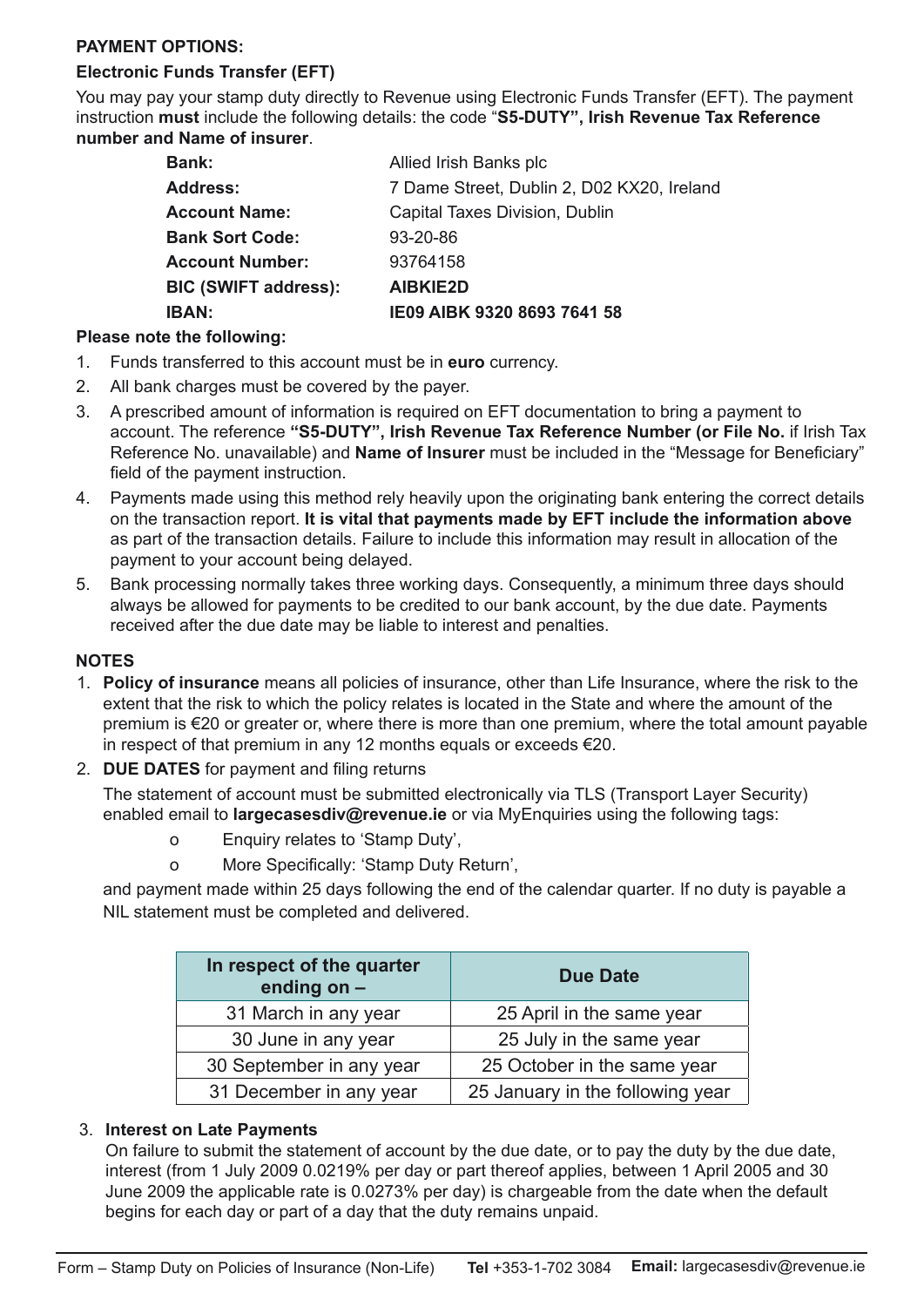## **PAYMENT OPTIONS:**

# **Electronic Funds Transfer (EFT)**

You may pay your stamp duty directly to Revenue using Electronic Funds Transfer (EFT). The payment instruction **must** include the following details: the code "**S5-DUTY", Irish Revenue Tax Reference number and Name of insurer**.

| <b>IBAN:</b>                | IE09 AIBK 9320 8693 7641 58                |
|-----------------------------|--------------------------------------------|
| <b>BIC (SWIFT address):</b> | <b>AIBKIE2D</b>                            |
| <b>Account Number:</b>      | 93764158                                   |
| <b>Bank Sort Code:</b>      | 93-20-86                                   |
| <b>Account Name:</b>        | Capital Taxes Division, Dublin             |
| <b>Address:</b>             | 7 Dame Street, Dublin 2, D02 KX20, Ireland |
| <b>Bank:</b>                | Allied Irish Banks plc                     |
|                             |                                            |

## **Please note the following:**

- 1. Funds transferred to this account must be in **euro** currency.
- 2. All bank charges must be covered by the payer.
- 3. A prescribed amount of information is required on EFT documentation to bring a payment to account. The reference **"S5-DUTY", Irish Revenue Tax Reference Number (or File No.** if Irish Tax Reference No. unavailable) and **Name of Insurer** must be included in the "Message for Beneficiary" field of the payment instruction.
- 4. Payments made using this method rely heavily upon the originating bank entering the correct details on the transaction report. **It is vital that payments made by EFT include the information above** as part of the transaction details. Failure to include this information may result in allocation of the payment to your account being delayed.
- 5. Bank processing normally takes three working days. Consequently, a minimum three days should always be allowed for payments to be credited to our bank account, by the due date. Payments received after the due date may be liable to interest and penalties.

### **NOTES**

- 1. **Policy of insurance** means all policies of insurance, other than Life Insurance, where the risk to the extent that the risk to which the policy relates is located in the State and where the amount of the premium is €20 or greater or, where there is more than one premium, where the total amount payable in respect of that premium in any 12 months equals or exceeds €20.
- 2. **DUE DATES** for payment and filing returns

The statement of account must be submitted electronically via TLS (Transport Layer Security) enabled email to **largecasesdiv@revenue.ie** or via MyEnquiries using the following tags:

- o Enquiry relates to 'Stamp Duty',
- o More Specifically: 'Stamp Duty Return',

and payment made within 25 days following the end of the calendar quarter. If no duty is payable a NIL statement must be completed and delivered.

| In respect of the quarter<br>ending on $-$ | <b>Due Date</b>                  |  |  |
|--------------------------------------------|----------------------------------|--|--|
| 31 March in any year                       | 25 April in the same year        |  |  |
| 30 June in any year                        | 25 July in the same year         |  |  |
| 30 September in any year                   | 25 October in the same year      |  |  |
| 31 December in any year                    | 25 January in the following year |  |  |

### 3. **Interest on Late Payments**

On failure to submit the statement of account by the due date, or to pay the duty by the due date, interest (from 1 July 2009 0.0219% per day or part thereof applies, between 1 April 2005 and 30 June 2009 the applicable rate is 0.0273% per day) is chargeable from the date when the default begins for each day or part of a day that the duty remains unpaid.